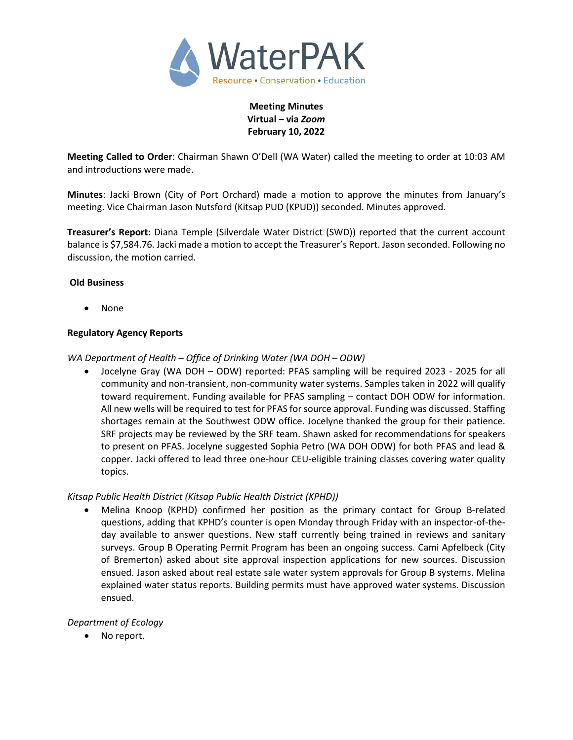

**Meeting Minutes Virtual – via** *Zoom* **February 10, 2022**

**Meeting Called to Order**: Chairman Shawn O'Dell (WA Water) called the meeting to order at 10:03 AM and introductions were made.

**Minutes**: Jacki Brown (City of Port Orchard) made a motion to approve the minutes from January's meeting. Vice Chairman Jason Nutsford (Kitsap PUD (KPUD)) seconded. Minutes approved.

**Treasurer's Report**: Diana Temple (Silverdale Water District (SWD)) reported that the current account balance is \$7,584.76. Jacki made a motion to accept the Treasurer's Report. Jason seconded. Following no discussion, the motion carried.

### **Old Business**

• None

### **Regulatory Agency Reports**

*WA Department of Health – Office of Drinking Water (WA DOH – ODW)*

• Jocelyne Gray (WA DOH – ODW) reported: PFAS sampling will be required 2023 - 2025 for all community and non-transient, non-community water systems. Samples taken in 2022 will qualify toward requirement. Funding available for PFAS sampling – contact DOH ODW for information. All new wells will be required to test for PFAS for source approval. Funding was discussed. Staffing shortages remain at the Southwest ODW office. Jocelyne thanked the group for their patience. SRF projects may be reviewed by the SRF team. Shawn asked for recommendations for speakers to present on PFAS. Jocelyne suggested Sophia Petro (WA DOH ODW) for both PFAS and lead & copper. Jacki offered to lead three one-hour CEU-eligible training classes covering water quality topics.

### *Kitsap Public Health District (Kitsap Public Health District (KPHD))*

• Melina Knoop (KPHD) confirmed her position as the primary contact for Group B-related questions, adding that KPHD's counter is open Monday through Friday with an inspector-of-theday available to answer questions. New staff currently being trained in reviews and sanitary surveys. Group B Operating Permit Program has been an ongoing success. Cami Apfelbeck (City of Bremerton) asked about site approval inspection applications for new sources. Discussion ensued. Jason asked about real estate sale water system approvals for Group B systems. Melina explained water status reports. Building permits must have approved water systems. Discussion ensued.

### *Department of Ecology*

No report.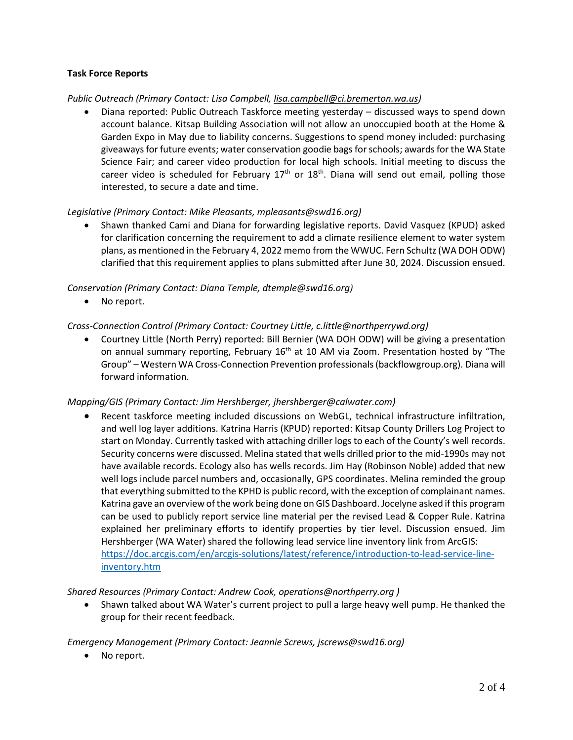# **Task Force Reports**

### *Public Outreach (Primary Contact: Lisa Campbell, lisa.campbell@ci.bremerton.wa.us)*

• Diana reported: Public Outreach Taskforce meeting yesterday – discussed ways to spend down account balance. Kitsap Building Association will not allow an unoccupied booth at the Home & Garden Expo in May due to liability concerns. Suggestions to spend money included: purchasing giveaways for future events; water conservation goodie bags for schools; awardsfor the WA State Science Fair; and career video production for local high schools. Initial meeting to discuss the career video is scheduled for February  $17<sup>th</sup>$  or  $18<sup>th</sup>$ . Diana will send out email, polling those interested, to secure a date and time.

### *Legislative (Primary Contact: Mike Pleasants, mpleasants@swd16.org)*

• Shawn thanked Cami and Diana for forwarding legislative reports. David Vasquez (KPUD) asked for clarification concerning the requirement to add a climate resilience element to water system plans, as mentioned in the February 4, 2022 memo from the WWUC. Fern Schultz (WA DOH ODW) clarified that this requirement applies to plans submitted after June 30, 2024. Discussion ensued.

# *Conservation (Primary Contact: Diana Temple, dtemple@swd16.org)*

• No report.

# *Cross-Connection Control (Primary Contact: Courtney Little, [c.little@northperrywd.org\)](mailto:c.little@northperrywd.org)*

• Courtney Little (North Perry) reported: Bill Bernier (WA DOH ODW) will be giving a presentation on annual summary reporting, February 16<sup>th</sup> at 10 AM via Zoom. Presentation hosted by "The Group" – Western WA Cross-Connection Prevention professionals(backflowgroup.org). Diana will forward information.

### *Mapping/GIS (Primary Contact: Jim Hershberger, jhershberger@calwater.com)*

Recent taskforce meeting included discussions on WebGL, technical infrastructure infiltration, and well log layer additions. Katrina Harris (KPUD) reported: Kitsap County Drillers Log Project to start on Monday. Currently tasked with attaching driller logs to each of the County's well records. Security concerns were discussed. Melina stated that wells drilled prior to the mid-1990s may not have available records. Ecology also has wells records. Jim Hay (Robinson Noble) added that new well logs include parcel numbers and, occasionally, GPS coordinates. Melina reminded the group that everything submitted to the KPHD is public record, with the exception of complainant names. Katrina gave an overview of the work being done on GIS Dashboard. Jocelyne asked if this program can be used to publicly report service line material per the revised Lead & Copper Rule. Katrina explained her preliminary efforts to identify properties by tier level. Discussion ensued. Jim Hershberger (WA Water) shared the following lead service line inventory link from ArcGIS: [https://doc.arcgis.com/en/arcgis-solutions/latest/reference/introduction-to-lead-service-line](https://doc.arcgis.com/en/arcgis-solutions/latest/reference/introduction-to-lead-service-line-inventory.htm)[inventory.htm](https://doc.arcgis.com/en/arcgis-solutions/latest/reference/introduction-to-lead-service-line-inventory.htm)

### *Shared Resources (Primary Contact: Andrew Cook, operations@northperry.org )*

• Shawn talked about WA Water's current project to pull a large heavy well pump. He thanked the group for their recent feedback.

### *Emergency Management (Primary Contact: Jeannie Screws, jscrews@swd16.org)*

No report.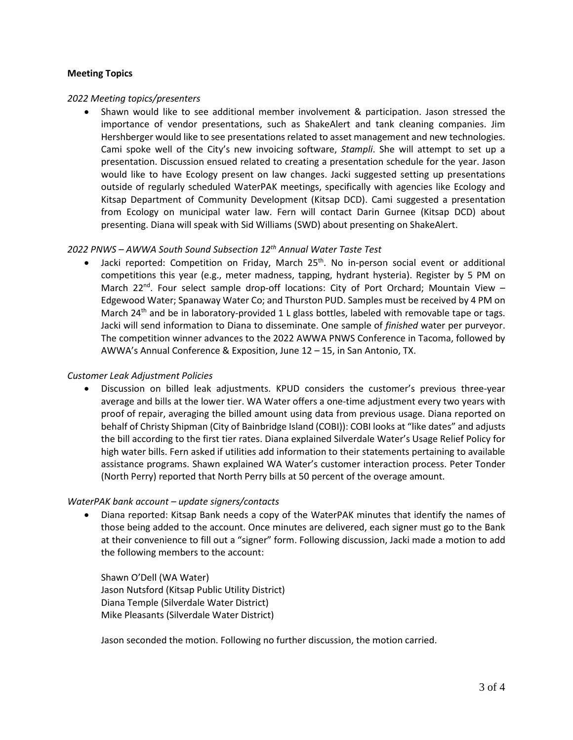#### **Meeting Topics**

#### *2022 Meeting topics/presenters*

• Shawn would like to see additional member involvement & participation. Jason stressed the importance of vendor presentations, such as ShakeAlert and tank cleaning companies. Jim Hershberger would like to see presentations related to asset management and new technologies. Cami spoke well of the City's new invoicing software, *Stampli*. She will attempt to set up a presentation. Discussion ensued related to creating a presentation schedule for the year. Jason would like to have Ecology present on law changes. Jacki suggested setting up presentations outside of regularly scheduled WaterPAK meetings, specifically with agencies like Ecology and Kitsap Department of Community Development (Kitsap DCD). Cami suggested a presentation from Ecology on municipal water law. Fern will contact Darin Gurnee (Kitsap DCD) about presenting. Diana will speak with Sid Williams (SWD) about presenting on ShakeAlert.

### *2022 PNWS – AWWA South Sound Subsection 12th Annual Water Taste Test*

Jacki reported: Competition on Friday, March  $25<sup>th</sup>$ . No in-person social event or additional competitions this year (e.g., meter madness, tapping, hydrant hysteria). Register by 5 PM on March 22<sup>nd</sup>. Four select sample drop-off locations: City of Port Orchard; Mountain View  $-$ Edgewood Water; Spanaway Water Co; and Thurston PUD. Samples must be received by 4 PM on March 24<sup>th</sup> and be in laboratory-provided 1 L glass bottles, labeled with removable tape or tags. Jacki will send information to Diana to disseminate. One sample of *finished* water per purveyor. The competition winner advances to the 2022 AWWA PNWS Conference in Tacoma, followed by AWWA's Annual Conference & Exposition, June 12 – 15, in San Antonio, TX.

#### *Customer Leak Adjustment Policies*

• Discussion on billed leak adjustments. KPUD considers the customer's previous three-year average and bills at the lower tier. WA Water offers a one-time adjustment every two years with proof of repair, averaging the billed amount using data from previous usage. Diana reported on behalf of Christy Shipman (City of Bainbridge Island (COBI)): COBI looks at "like dates" and adjusts the bill according to the first tier rates. Diana explained Silverdale Water's Usage Relief Policy for high water bills. Fern asked if utilities add information to their statements pertaining to available assistance programs. Shawn explained WA Water's customer interaction process. Peter Tonder (North Perry) reported that North Perry bills at 50 percent of the overage amount.

#### *WaterPAK bank account – update signers/contacts*

• Diana reported: Kitsap Bank needs a copy of the WaterPAK minutes that identify the names of those being added to the account. Once minutes are delivered, each signer must go to the Bank at their convenience to fill out a "signer" form. Following discussion, Jacki made a motion to add the following members to the account:

Shawn O'Dell (WA Water) Jason Nutsford (Kitsap Public Utility District) Diana Temple (Silverdale Water District) Mike Pleasants (Silverdale Water District)

Jason seconded the motion. Following no further discussion, the motion carried.